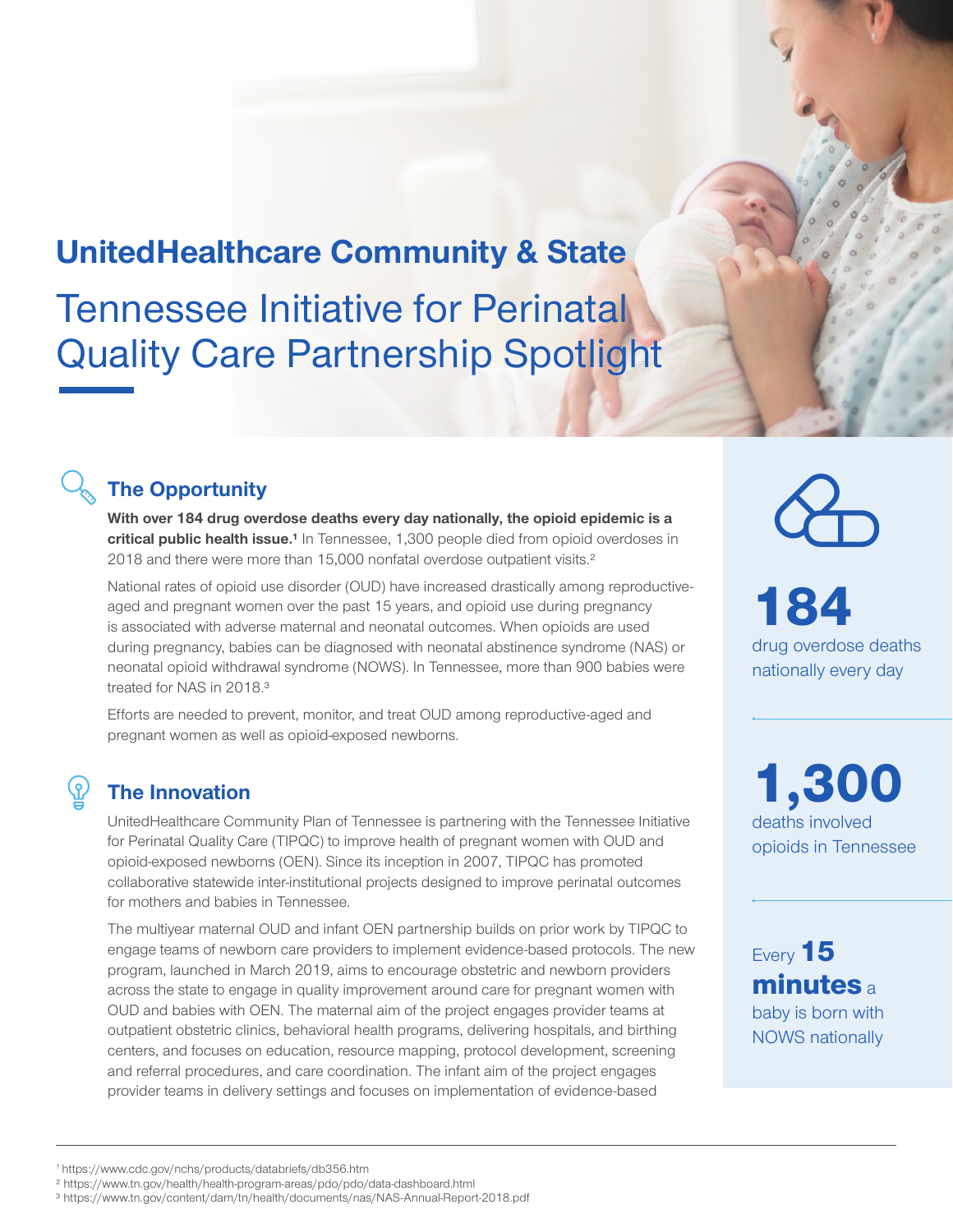# **UnitedHealthcare Community & State**  Tennessee Initiative for Perinatal Quality Care Partnership Spotlight

## **The Opportunity**

**With over 184 drug overdose deaths every day nationally, the opioid epidemic is a**  critical public health issue.<sup>1</sup> In Tennessee, 1,300 people died from opioid overdoses in 2018 and there were more than 15,000 nonfatal overdose outpatient visits.<sup>2</sup>

National rates of opioid use disorder (OUD) have increased drastically among reproductiveaged and pregnant women over the past 15 years, and opioid use during pregnancy is associated with adverse maternal and neonatal outcomes. When opioids are used during pregnancy, babies can be diagnosed with neonatal abstinence syndrome (NAS) or neonatal opioid withdrawal syndrome (NOWS). In Tennessee, more than 900 babies were treated for NAS in 2018.<sup>3</sup>

Efforts are needed to prevent, monitor, and treat OUD among reproductive-aged and pregnant women as well as opioid-exposed newborns.

## **The Innovation**

UnitedHealthcare Community Plan of Tennessee is partnering with the Tennessee Initiative for Perinatal Quality Care (TIPQC) to improve health of pregnant women with OUD and opioid-exposed newborns (OEN). Since its inception in 2007, TIPQC has promoted collaborative statewide inter-institutional projects designed to improve perinatal outcomes for mothers and babies in Tennessee.

The multiyear maternal OUD and infant OEN partnership builds on prior work by TIPQC to engage teams of newborn care providers to implement evidence-based protocols. The new program, launched in March 2019, aims to encourage obstetric and newborn providers across the state to engage in quality improvement around care for pregnant women with OUD and babies with OEN. The maternal aim of the project engages provider teams at outpatient obstetric clinics, behavioral health programs, delivering hospitals, and birthing centers, and focuses on education, resource mapping, protocol development, screening and referral procedures, and care coordination. The infant aim of the project engages provider teams in delivery settings and focuses on implementation of evidence-based

184 drug overdose deaths nationally every day

1,300 deaths involved opioids in Tennessee

Every 15 minutes<sub>a</sub> baby is born with NOWS nationally

<sup>1</sup> https://www.cdc.gov/nchs/products/databriefs/db356.htm

² https://www.tn.gov/health/health-program-areas/pdo/pdo/data-dashboard.html

³ https://www.tn.gov/content/dam/tn/health/documents/nas/NAS-Annual-Report-2018.pdf